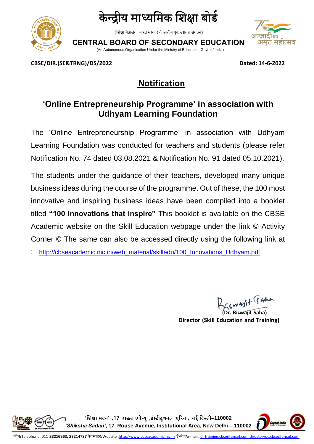



(शिक्षा मंत्रालय, भारत सरकार के अधीन एक स्वायत्त संगठन)



**CENTRAL BOARD OF SECONDARY EDUCATION**

(An Autonomous Organisation Under the Ministry of Education, Govt. of India)

**CBSE/DIR.(SE&TRNG)/DS/2022 Dated: 14-6-2022**

## **Notification**

## **'Online Entrepreneurship Programme' in association with Udhyam Learning Foundation**

The 'Online Entrepreneurship Programme' in association with Udhyam Learning Foundation was conducted for teachers and students (please refer Notification No. 74 dated 03.08.2021 & Notification No. 91 dated 05.10.2021).

The students under the guidance of their teachers, developed many unique business ideas during the course of the programme. Out of these, the 100 most innovative and inspiring business ideas have been compiled into a booklet titled **"100 innovations that inspire"** This booklet is available on the CBSE Academic website on the Skill Education webpage under the link © Activity Corner © The same can also be accessed directly using the following link at

[http://cbseacademic.nic.in/web\\_material/skilledu/100\\_Innovations\\_Udhyam.pdf](http://cbseacademic.nic.in/web_material/skilledu/100_Innovations_Udhyam.pdf)

BESWAIT GAMA

**(Dr. Biswajit Saha) Director (Skill Education and Training)**